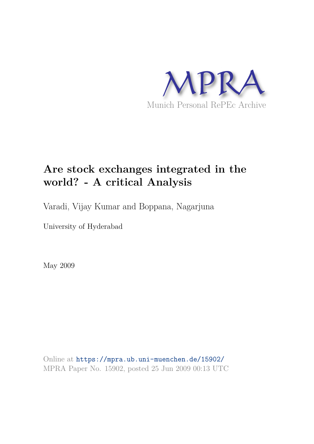

# **Are stock exchanges integrated in the world? - A critical Analysis**

Varadi, Vijay Kumar and Boppana, Nagarjuna

University of Hyderabad

May 2009

Online at https://mpra.ub.uni-muenchen.de/15902/ MPRA Paper No. 15902, posted 25 Jun 2009 00:13 UTC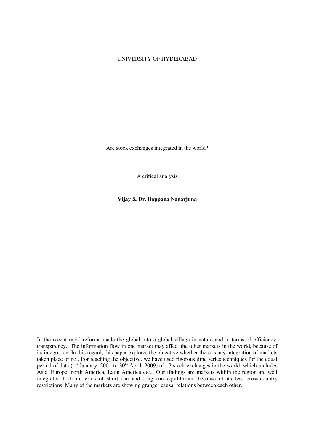#### UNIVERSITY OF HYDERABAD

Are stock exchanges integrated in the world?

A critical analysis

**Vijay & Dr. Boppana Nagarjuna** 

In the recent rapid reforms made the global into a global village in nature and in terms of efficiency, transparency. The information flow in one market may affect the other markets in the world, because of its integration. In this regard, this paper explores the objective whether there is any integration of markets taken place or not. For reaching the objective, we have used rigorous time series techniques for the equal period of data (1<sup>st</sup> January, 2001 to 30<sup>th</sup> April, 2009) of 17 stock exchanges in the world, which includes Asia, Europe, north America, Latin America etc.,. Our findings are markets within the region are well integrated both in terms of short run and long run equilibrium, because of its less cross-country restrictions. Many of the markets are showing granger causal relations between each other.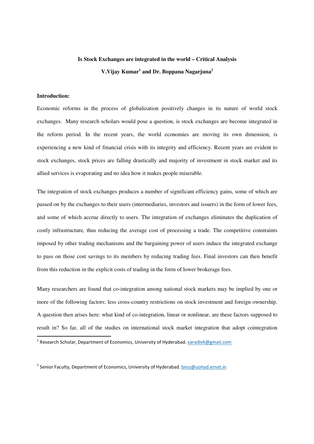# **Is Stock Exchanges are integrated in the world – Critical Analysis V.Vijay Kumar<sup>1</sup> and Dr. Boppana Nagarjuna<sup>2</sup>**

#### **Introduction:**

<u>.</u>

Economic reforms in the process of globalization positively changes in its nature of world stock exchanges. Many research scholars would pose a question, is stock exchanges are become integrated in the reform period. In the recent years, the world economies are moving its own dimension, is experiencing a new kind of financial crisis with its integrity and efficiency. Recent years are evident to stock exchanges, stock prices are falling drastically and majority of investment in stock market and its allied services is evaporating and no idea how it makes people miserable.

The integration of stock exchanges produces a number of significant efficiency gains, some of which are passed on by the exchanges to their users (intermediaries, investors and issuers) in the form of lower fees, and some of which accrue directly to users. The integration of exchanges eliminates the duplication of costly infrastructure, thus reducing the average cost of processing a trade. The competitive constraints imposed by other trading mechanisms and the bargaining power of users induce the integrated exchange to pass on those cost savings to its members by reducing trading fees. Final investors can then benefit from this reduction in the explicit costs of trading in the form of lower brokerage fees.

Many researchers are found that co-integration among national stock markets may be implied by one or more of the following factors: less cross-country restrictions on stock investment and foreign ownership. A question then arises here: what kind of co-integration, linear or nonlinear, are these factors supposed to result in? So far, all of the studies on international stock market integration that adopt cointegration

<sup>2</sup> Senior Faculty, Department of Economics, University of Hyderabad. **bnss@uohyd.ernet.in** 

<sup>&</sup>lt;sup>1</sup> Research Scholar, Department of Economics, University of Hyderabad. <u>varadivk@gmail.com</u>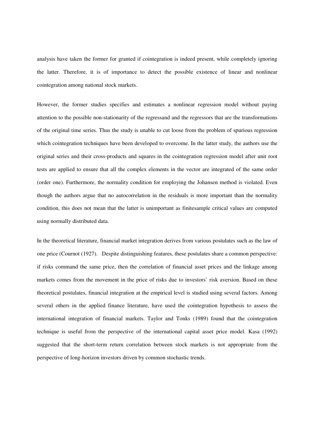analysis have taken the former for granted if cointegration is indeed present, while completely ignoring the latter. Therefore, it is of importance to detect the possible existence of linear and nonlinear cointegration among national stock markets.

However, the former studies specifies and estimates a nonlinear regression model without paying attention to the possible non-stationarity of the regressand and the regressors that are the transformations of the original time series. Thus the study is unable to cut loose from the problem of spurious regression which cointegration techniques have been developed to overcome. In the latter study, the authors use the original series and their cross-products and squares in the cointegration regression model after unit root tests are applied to ensure that all the complex elements in the vector are integrated of the same order (order one). Furthermore, the normality condition for employing the Johansen method is violated. Even though the authors argue that no autocorrelation in the residuals is more important than the normality condition, this does not mean that the latter is unimportant as finitesample critical values are computed using normally distributed data.

In the theoretical literature, financial market integration derives from various postulates such as the law of one price (Cournot (1927). Despite distinguishing features, these postulates share a common perspective: if risks command the same price, then the correlation of financial asset prices and the linkage among markets comes from the movement in the price of risks due to investors' risk aversion. Based on these theoretical postulates, financial integration at the empirical level is studied using several factors. Among several others in the applied finance literature, have used the cointegration hypothesis to assess the international integration of financial markets. Taylor and Tonks (1989) found that the cointegration technique is useful from the perspective of the international capital asset price model. Kasa (1992) suggested that the short-term return correlation between stock markets is not appropriate from the perspective of long-horizon investors driven by common stochastic trends.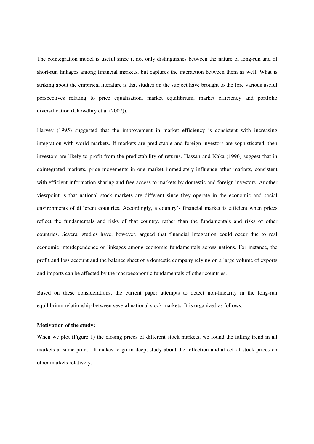The cointegration model is useful since it not only distinguishes between the nature of long-run and of short-run linkages among financial markets, but captures the interaction between them as well. What is striking about the empirical literature is that studies on the subject have brought to the fore various useful perspectives relating to price equalisation, market equilibrium, market efficiency and portfolio diversification (Chowdhry et al (2007)).

Harvey (1995) suggested that the improvement in market efficiency is consistent with increasing integration with world markets. If markets are predictable and foreign investors are sophisticated, then investors are likely to profit from the predictability of returns. Hassan and Naka (1996) suggest that in cointegrated markets, price movements in one market immediately influence other markets, consistent with efficient information sharing and free access to markets by domestic and foreign investors. Another viewpoint is that national stock markets are different since they operate in the economic and social environments of different countries. Accordingly, a country's financial market is efficient when prices reflect the fundamentals and risks of that country, rather than the fundamentals and risks of other countries. Several studies have, however, argued that financial integration could occur due to real economic interdependence or linkages among economic fundamentals across nations. For instance, the profit and loss account and the balance sheet of a domestic company relying on a large volume of exports and imports can be affected by the macroeconomic fundamentals of other countries.

Based on these considerations, the current paper attempts to detect non-linearity in the long-run equilibrium relationship between several national stock markets. It is organized as follows.

## **Motivation of the study:**

When we plot (Figure 1) the closing prices of different stock markets, we found the falling trend in all markets at same point. It makes to go in deep, study about the reflection and affect of stock prices on other markets relatively.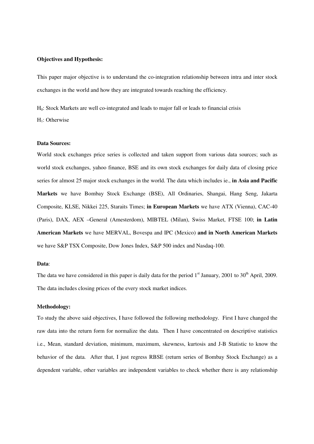#### **Objectives and Hypothesis:**

This paper major objective is to understand the co-integration relationship between intra and inter stock exchanges in the world and how they are integrated towards reaching the efficiency.

H0: Stock Markets are well co-integrated and leads to major fall or leads to financial crisis  $H_1$ : Otherwise

#### **Data Sources:**

World stock exchanges price series is collected and taken support from various data sources; such as world stock exchanges, yahoo finance, BSE and its own stock exchanges for daily data of closing price series for almost 25 major stock exchanges in the world. The data which includes ie., **in Asia and Pacific Markets** we have Bombay Stock Exchange (BSE), All Ordinaries, Shangai, Hang Seng, Jakarta Composite, KLSE, Nikkei 225, Staraits Times; **in European Markets** we have ATX (Vienna), CAC-40 (Paris), DAX, AEX –General (Amesterdom), MIBTEL (Milan), Swiss Market, FTSE 100; **in Latin American Markets** we have MERVAL, Bovespa and IPC (Mexico) **and in North American Markets** we have S&P TSX Composite, Dow Jones Index, S&P 500 index and Nasdaq-100.

#### **Data**:

The data we have considered in this paper is daily data for the period  $1<sup>st</sup>$  January, 2001 to 30<sup>th</sup> April, 2009. The data includes closing prices of the every stock market indices.

#### **Methodology:**

To study the above said objectives, I have followed the following methodology. First I have changed the raw data into the return form for normalize the data. Then I have concentrated on descriptive statistics i.e., Mean, standard deviation, minimum, maximum, skewness, kurtosis and J-B Statistic to know the behavior of the data. After that, I just regress RBSE (return series of Bombay Stock Exchange) as a dependent variable, other variables are independent variables to check whether there is any relationship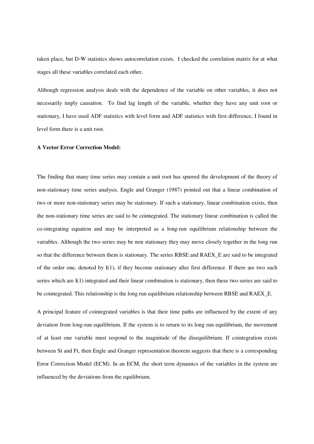taken place, but D-W statistics shows autocorrelation exists. I checked the correlation matrix for at what stages all these variables correlated each other.

Although regression analysis deals with the dependence of the variable on other variables, it does not necessarily imply causation. To find lag length of the variable, whether they have any unit root or stationary, I have used ADF statistics with level form and ADF statistics with first difference, I found in level form there is a unit root.

#### **A Vector Error Correction Model:**

The finding that many time series may contain a unit root has spurred the development of the theory of non-stationary time series analysis. Engle and Granger (1987) pointed out that a linear combination of two or more non-stationary series may be stationary. If such a stationary, linear combination exists, then the non-stationary time series are said to be cointegrated. The stationary linear combination is called the co-integrating equation and may be interpreted as a long-run equilibrium relationship between the variables. Although the two series may be non stationary they may move closely together in the long run so that the difference between them is stationary. The series RBSE and RAEX\_E are said to be integrated of the order one, denoted by  $I(1)$ , if they become stationary after first difference. If there are two such series which are I(1) integrated and their linear combination is stationary, then these two series are said to be cointegrated. This relationship is the long run equilibrium relationship between RBSE and RAEX\_E.

A principal feature of cointegrated variables is that their time paths are influenced by the extent of any deviation from long-run equilibrium. If the system is to return to its long run equilibrium, the movement of at least one variable must respond to the magnitude of the disequilibrium. If cointegration exists between St and Ft, then Engle and Granger representation theorem suggests that there is a corresponding Error Correction Model (ECM). In an ECM, the short term dynamics of the variables in the system are influenced by the deviations from the equilibrium.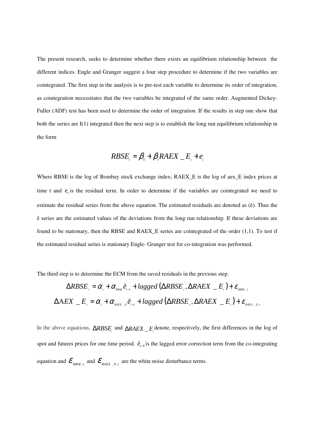The present research, seeks to determine whether there exists an equilibrium relationship between the different indices. Engle and Granger suggest a four step procedure to determine if the two variables are cointegrated. The first step in the analysis is to pre-test each variable to determine its order of integration, as cointegration necessitates that the two variables be integrated of the same order. Augmented Dickey-Fuller (ADF) test has been used to determine the order of integration. If the results in step one show that both the series are I(1) integrated then the next step is to establish the long run equilibrium relationship in the form

$$
RBSE_{i} = \beta_{0} + \beta_{1}RAEX_{i} - E_{i} + e_{i}
$$

Where RBSE is the log of Bombay stock exchange index; RAEX E is the log of aex E index prices at time t and  $e_t$  is the residual term. In order to determine if the variables are cointegrated we need to estimate the residual series from the above equation. The estimated residuals are denoted as (ê). Thus the ê series are the estimated values of the deviations from the long run relationship. If these deviations are found to be stationary, then the RBSE and RAEX  $E$  series are cointegrated of the order  $(1,1)$ . To test if the estimated residual series is stationary Engle- Granger test for co-integration was performed.

The third step is to determine the ECM from the saved residuals in the previous step.

$$
\Delta R BSE_{i} = \alpha_{i} + \alpha_{\text{RBSE}} \hat{e}_{i-1} + lagger(\Delta R BSE_{i}, \Delta R AEX_{i} - E_{i}) + \varepsilon_{\text{RBSE},i}
$$
  

$$
\Delta AEX_{i} - E_{i} = \alpha_{i} + \alpha_{\text{RASE},i} \hat{e}_{i-1} + lagger(\Delta R BSE_{i}, \Delta R AEX_{i} - E_{i}) + \varepsilon_{\text{RASE},i} \hat{e}_{i-1} + \varepsilon_{\text{RASE},i} \hat{e}_{i-1} + \varepsilon_{\text{RASE},i} \hat{e}_{i-1} + \varepsilon_{\text{RASE},i} \hat{e}_{i-1} + \varepsilon_{\text{RASE},i} \hat{e}_{i-1} + \varepsilon_{\text{RASE},i} \hat{e}_{i-1} + \varepsilon_{\text{RASE},i} \hat{e}_{i-1} + \varepsilon_{\text{RASE},i} \hat{e}_{i-1} + \varepsilon_{\text{RASE},i} \hat{e}_{i-1} + \varepsilon_{\text{RASE},i} \hat{e}_{i-1} + \varepsilon_{\text{RASE},i} \hat{e}_{i-1} + \varepsilon_{\text{RASE},i} \hat{e}_{i-1} + \varepsilon_{\text{RASE},i} \hat{e}_{i-1} + \varepsilon_{\text{RASE},i} \hat{e}_{i-1} + \varepsilon_{\text{RASE},i} \hat{e}_{i-1} + \varepsilon_{\text{RASE},i} \hat{e}_{i-1} + \varepsilon_{\text{RASE},i} \hat{e}_{i-1} + \varepsilon_{\text{RASE},i} \hat{e}_{i-1} + \varepsilon_{\text{RASE},i} \hat{e}_{i-1} + \varepsilon_{\text{RASE},i} \hat{e}_{i-1} + \varepsilon_{\text{RASE},i} \hat{e}_{i-1} + \varepsilon_{\text{RASE},i} \hat{e}_{i-1} + \varepsilon_{\text{RASE},i} \hat{e}_{i-1} + \varepsilon_{\text{RASE},i} \hat{e}_{i-1} + \varepsilon_{\text{RASE},i} \hat{e}_{i-1} + \varepsilon_{\text{RASE},i}
$$

In the above equations,  $\triangle RBSE$ <sup>*t*</sup>, and  $\triangle RAEX$   $E$ <sup>*t*</sup>  $E$ <sub>*f*</sub> denote, respectively, the first differences in the log of spot and futures prices for one time period.  $\hat{e}_{t-1}$  is the lagged error correction term from the co-integrating equation and  $\mathcal{E}_{_{RBSE,t}}$  and  $\mathcal{E}_{_{RAEX\_E,t}}$  are the white noise disturbance terms.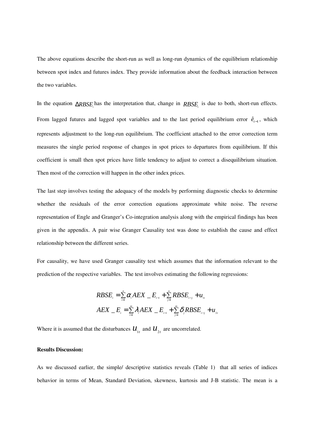The above equations describe the short-run as well as long-run dynamics of the equilibrium relationship between spot index and futures index. They provide information about the feedback interaction between the two variables.

In the equation ∆*RBSE*<sup>*t*</sup><sub>*l*</sub> has the interpretation that, change in *RBSE<sub><i>t*</sub></sub> is due to both, short-run effects. From lagged futures and lagged spot variables and to the last period equilibrium error  $\hat{e}_{t-1}$ , which represents adjustment to the long-run equilibrium. The coefficient attached to the error correction term measures the single period response of changes in spot prices to departures from equilibrium. If this coefficient is small then spot prices have little tendency to adjust to correct a disequilibrium situation. Then most of the correction will happen in the other index prices.

The last step involves testing the adequacy of the models by performing diagnostic checks to determine whether the residuals of the error correction equations approximate white noise. The reverse representation of Engle and Granger's Co-integration analysis along with the empirical findings has been given in the appendix. A pair wise Granger Causality test was done to establish the cause and effect relationship between the different series.

For causality, we have used Granger causality test which assumes that the information relevant to the prediction of the respective variables. The test involves estimating the following regressions:

$$
RBSE_{i} = \sum_{i=1}^{n} \alpha_{i} AEX \n\quad E_{i-i} + \sum_{j=1}^{n} RBSE_{i-j} + u_{i}
$$
\n
$$
AEX \n\quad E_{i} = \sum_{i=1}^{m} \lambda_{i} AEX \n\quad E_{i-i} + \sum_{j=1}^{m} \delta_{j} RBSE_{i-j} + u_{i}
$$

Where it is assumed that the disturbances  $\mathbf{u}_{1t}$  and  $\mathbf{u}_{2t}$  are uncorrelated.

#### **Results Discussion:**

As we discussed earlier, the simple/ descriptive statistics reveals (Table 1) that all series of indices behavior in terms of Mean, Standard Deviation, skewness, kurtosis and J-B statistic. The mean is a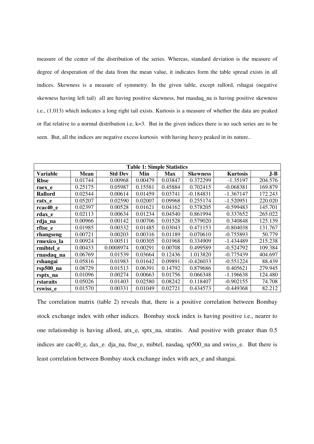measure of the center of the distribution of the series. Whereas, standard deviation is the measure of degree of desperation of the data from the mean value, it indicates form the table spread exists in all indices. Skewness is a measure of symmetry. In the given table, except rallord, rshagai (negative skewness having left tail) all are having positive skewness, but rnasdaq\_na is having positive skewness i.e., (1.013) which indicates a long right tail exists. Kurtosis is a measure of whether the data are peaked or flat relative to a normal distribution i.e, k=3. But in the given indices there is no such series are to be seen. But, all the indices are negative excess kurtosis with having heavy peaked in its nature..

| <b>Table 1: Simple Statistics</b> |             |                |         |            |                 |                 |         |
|-----------------------------------|-------------|----------------|---------|------------|-----------------|-----------------|---------|
| Variable                          | <b>Mean</b> | <b>Std Dev</b> | Min     | <b>Max</b> | <b>Skewness</b> | <b>Kurtosis</b> | $J-B$   |
| <b>Rbse</b>                       | 0.01744     | 0.00968        | 0.00479 | 0.03847    | 0.372299        | $-1.35197$      | 204.576 |
| raex e                            | 0.25175     | 0.05987        | 0.15581 | 0.45884    | 0.702415        | $-0.068381$     | 169.879 |
| <b>Rallord</b>                    | 0.02544     | 0.00614        | 0.01459 | 0.03741    | $-0.184831$     | $-1.367147$     | 172.243 |
| ratx_e                            | 0.05207     | 0.02590        | 0.02007 | 0.09968    | 0.255174        | $-1.520951$     | 220.020 |
| rcac40 e                          | 0.02397     | 0.00528        | 0.01621 | 0.04162    | 0.578205        | $-0.599483$     | 145.701 |
| rdax e                            | 0.02113     | 0.00634        | 0.01234 | 0.04540    | 0.861994        | 0.337652        | 265.022 |
| rdja_na                           | 0.00966     | 0.00142        | 0.00706 | 0.01528    | 0.579020        | 0.340848        | 125.139 |
| rftse_e                           | 0.01985     | 0.00332        | 0.01485 | 0.03043    | 0.471153        | $-0.804038$     | 131.767 |
| rhangseng                         | 0.00721     | 0.00203        | 0.00316 | 0.01189    | 0.070610        | $-0.755893$     | 50.779  |
| rmexico_la                        | 0.00924     | 0.00511        | 0.00305 | 0.01968    | 0.334909        | -1.434489       | 215.238 |
| rmibtel e                         | 0.00433     | 0.0008974      | 0.00291 | 0.00708    | 0.499589        | $-0.524792$     | 109.384 |
| rnasdaq na                        | 0.06769     | 0.01539        | 0.03664 | 0.12436    | 1.013820        | $-0.775439$     | 404.697 |
| rshangai                          | 0.05816     | 0.01983        | 0.01642 | 0.09891    | $-0.426033$     | $-0.551224$     | 88.439  |
| rsp500 <sub>na</sub>              | 0.08729     | 0.01513        | 0.06391 | 0.14792    | 0.879686        | 0.405621        | 279.945 |
| rsptx_na                          | 0.01096     | 0.00274        | 0.00663 | 0.01756    | 0.066348        | $-1.196638$     | 124.480 |
| rstaraits                         | 0.05026     | 0.01403        | 0.02580 | 0.08242    | 0.118407        | $-0.902155$     | 74.708  |
| rswiss_e                          | 0.01570     | 0.00331        | 0.01049 | 0.02721    | 0.434573        | $-0.449368$     | 82.212  |

The correlation matrix (table 2) reveals that, there is a positive correlation between Bombay stock exchange index with other indices. Bombay stock index is having positive i.e., nearer to one relationship is having allord, atx\_e, sptx\_na, stratits. And positive with greater than 0.5 indices are cac40 e, dax e. dja na, ftse e, mibtel, nasdaq, sp500 na and swiss e. But there is least correlation between Bombay stock exchange index with aex\_e and shangai.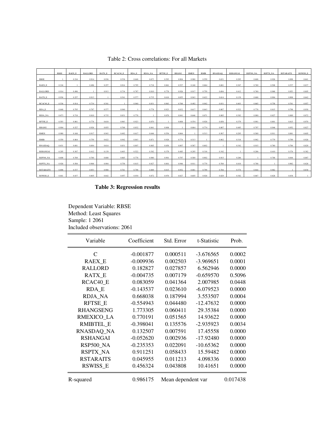|                  | <b>RBSE</b> | <b>RAEX E</b> | <b>RALLORD</b> | RATX E | RCAC40 E     | RDA E | RDJA NA | <b>RFTSE E</b> | <b>RHANG</b> | <b>RMEX</b> | <b>RMIB</b> | <b>RNASDAO</b> | <b>RSHANGAI</b> | <b>RSP500 NA</b> | <b>RSPTX NA</b> | <b>RSTARAITS</b> | RSWISS E |
|------------------|-------------|---------------|----------------|--------|--------------|-------|---------|----------------|--------------|-------------|-------------|----------------|-----------------|------------------|-----------------|------------------|----------|
| <b>RBSE</b>      |             | 0.216         | 0.914          | 0.936  | 0.536        | 0.648 | 0.673   | 0.593          | 0.904        | 0.980       | 0.559       | 0.631          | 0.295           | 0.608            | 0.926           | 0.898            | 0.641    |
| <b>RAEX E</b>    | 0.216       |               | 0.496          | 0.257  | 0.914        | 0.795 | 0.718   | 0.861          | 0.527        | 0.168       | 0.864       | 0.681          | 0.367           | 0.769            | 0.508           | 0.537            | 0.837    |
| <b>RALLORD</b>   | 0.914       | 0.496         |                | 0.913  | 0.734        | 0.787 | 0.810   | 0.778          | 0.926        | 0.917       | 0.759       | 0.694          | 0.412           | 0.760            | 0.968           | 0.953            | 0.805    |
|                  |             |               |                |        |              |       |         |                |              |             |             |                |                 |                  |                 |                  |          |
| <b>RATX E</b>    | 0.936       | 0.257         | 0.913          |        | 0.541        | 0.577 | 0.735   | 0.610          | 0.855        | 0.943       | 0.622       | 0.614          | 0.139           | 0.688            | 0.904           | 0.908            | 0.642    |
| RCAC40 E         | 0.536       | 0.914         | 0.734          | 0.541  | $\mathbf{1}$ | 0.940 | 0.831   | 0.963          | 0.768        | 0.492       | 0.942       | 0.831          | 0.403           | 0.865            | 0.758           | 0.761            | 0.957    |
| RDA E            | 0.648       | 0.795         | 0.787          | 0.577  | 0.940        |       | 0.778   | 0.923          | 0.832        | 0.617       | 0.843       | 0.807          | 0.522           | 0.778            | 0.815           | 0.798            | 0.930    |
| RDJA_NA          | 0.673       | 0.718         | 0.810          | 0.735  | 0.831        | 0.778 |         | 0.870          | 0.841        | 0.646       | 0.871       | 0.885          | 0.382           | 0.980            | 0.827           | 0.889            | 0.872    |
| RFTSE_E          | 0.593       | 0.861         | 0.778          | 0.610  | 0.963        | 0.923 | 0.870   |                | 0.808        | 0.554       | 0.928       | 0.858          | 0.379           | 0.901            | 0.801           | 0.815            | 0.970    |
| RHANG            | 0.904       | 0.527         | 0.926          | 0.855  | 0.768        | 0.832 | 0.841   | 0.808          |              | 0.864       | 0.774       | 0.807          | 0.485           | 0.797            | 0.946           | 0.952            | 0.827    |
| RMEX             | 0.980       | 0.168         | 0.917          | 0.943  | 0.492        | 0.617 | 0.646   | 0.554          | 0.864        |             | 0.513       | 0.567          | 0.295           | 0.569            | 0.911           | 0.881            | 0.605    |
| RMIB             | 0.559       | 0.864         | 0.759          | 0.622  | 0.942        | 0.843 | 0.871   | 0.928          | 0.774        | 0.513       |             | 0.802          | 0.318           | 0.902            | 0.779           | 0.799            | 0.928    |
| <b>RNASDAQ</b>   | 0.631       | 0.681         | 0.694          | 0.614  | 0.831        | 0.807 | 0.885   | 0.858          | 0.807        | 0.567       | 0.802       |                | 0.342           | 0.915            | 0.760           | 0.784            | 0.829    |
| RSHANGAI         | 0.295       | 0.367         | 0.412          | 0.139  | 0.403        | 0.522 | 0.382   | 0.379          | 0.485        | 0.295       | 0.318       | 0.342          |                 | 0.286            | 0.410           | 0.374            | 0.382    |
| <b>RSP500_NA</b> | 0.608       | 0.769         | 0.760          | 0.688  | 0.865        | 0.778 | 0.980   | 0.901          | 0.797        | 0.569       | 0.902       | 0.915          | 0.286           |                  | 0.788           | 0.844            | 0.887    |
| <b>RSPTX_NA</b>  | 0.926       | 0.508         | 0.968          | 0.904  | 0.758        | 0.815 | 0.827   | 0.801          | 0.946        | 0.911       | 0.779       | 0.760          | 0.410           | 0.788            |                 | 0.962            | 0.828    |
| <b>RSTARAITS</b> | 0.898       | 0.537         | 0.953          | 0.908  | 0.761        | 0.798 | 0.889   | 0.815          | 0.952        | 0.881       | 0.799       | 0.784          | 0.374           | 0.844            | 0.962           |                  | 0.838    |
| <b>RSWISS E</b>  | 0.641       | 0.837         | 0.805          | 0.642  | 0.957        | 0.930 | 0.872   | 0.970          | 0.827        | 0.605       | 0.928       | 0.829          | 0.382           | 0.887            | 0.828           | 0.838            |          |

i<br>S

Table 2: Cross correlations: For all Markets

# **Table 3: Regression results**

Dependent Variable: RBSE Method: Least Squares Sample: 1 2061 Included observations: 2061

| Variable         | Coefficient | Std. Error         | t-Statistic | Prob.    |
|------------------|-------------|--------------------|-------------|----------|
| $\mathcal{C}$    | $-0.001877$ | 0.000511           | $-3.676565$ | 0.0002   |
| <b>RAEX_E</b>    | $-0.009936$ | 0.002503           | $-3.969651$ | 0.0001   |
| <b>RALLORD</b>   | 0.182827    | 0.027857           | 6.562946    | 0.0000   |
| RATX_E           | $-0.004735$ | 0.007179           | $-0.659570$ | 0.5096   |
| RCAC40_E         | 0.083059    | 0.041364           | 2.007985    | 0.0448   |
| RDA E            | $-0.143537$ | 0.023610           | $-6.079523$ | 0.0000   |
| <b>RDJA_NA</b>   | 0.668038    | 0.187994           | 3.553507    | 0.0004   |
| <b>RFTSE E</b>   | $-0.554943$ | 0.044480           | $-12.47632$ | 0.0000   |
| <b>RHANGSENG</b> | 1.773305    | 0.060411           | 29.35384    | 0.0000   |
| RMEXICO LA       | 0.770191    | 0.051565           | 14.93622    | 0.0000   |
| <b>RMIBTEL E</b> | $-0.398041$ | 0.135576           | -2.935923   | 0.0034   |
| RNASDAQ_NA       | 0.132507    | 0.007591           | 17.45558    | 0.0000   |
| <b>RSHANGAI</b>  | $-0.052620$ | 0.002936           | $-17.92480$ | 0.0000   |
| RSP500_NA        | $-0.235353$ | 0.022091           | $-10.65362$ | 0.0000   |
| <b>RSPTX_NA</b>  | 0.911251    | 0.058433           | 15.59482    | 0.0000   |
| <b>RSTARAITS</b> | 0.045955    | 0.011213           | 4.098336    | 0.0000   |
| RSWISS_E         | 0.456324    | 0.043808           | 10.41651    | 0.0000   |
| R-squared        | 0.986175    | Mean dependent var |             | 0.017438 |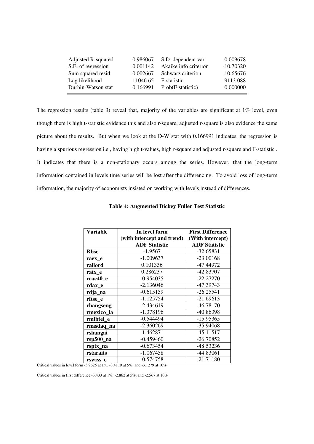| Adjusted R-squared | 0.986067 | S.D. dependent var    | 0.009678    |
|--------------------|----------|-----------------------|-------------|
| S.E. of regression | 0.001142 | Akaike info criterion | $-10.70320$ |
| Sum squared resid  | 0.002667 | Schwarz criterion     | $-10.65676$ |
| Log likelihood     | 11046.65 | F-statistic           | 9113.088    |
| Durbin-Watson stat | 0.166991 | Prob(F-statistic)     | 0.000000    |

The regression results (table 3) reveal that, majority of the variables are significant at 1% level, even though there is high t-statistic evidence this and also r-square, adjusted r-square is also evidence the same picture about the results. But when we look at the D-W stat with 0.166991 indicates, the regression is having a spurious regression i.e., having high t-values, high r-square and adjusted r-square and F-statistic . It indicates that there is a non-stationary occurs among the series. However, that the long-term information contained in levels time series will be lost after the differencing. To avoid loss of long-term information, the majority of economists insisted on working with levels instead of differences.

| Variable               | In level form              | <b>First Difference</b> |
|------------------------|----------------------------|-------------------------|
|                        | (with intercept and trend) | (With intercept)        |
|                        | <b>ADF Statistic</b>       | <b>ADF Statistic</b>    |
| <b>Rbse</b>            | $-1.9567$                  | $-32.65831$             |
| raex e                 | $-1.009637$                | $-23.00168$             |
| rallord                | 0.101336                   | -47.44972               |
| ratx_e                 | 0.286237                   | -42.83707               |
| rcac40_e               | $-0.954035$                | $-22.27270$             |
| rdax_e                 | $-2.136046$                | -47.39743               |
| rdja_na                | $-0.615159$                | $-26.25541$             |
| rftse_e                | $-1.125754$                | $-21.69613$             |
| rhangseng              | -2.434619                  | $-46.78170$             |
| rmexico_la             | -1.378196                  | -40.86398               |
| rmibtel_e              | $-0.544494$                | -15.95365               |
| rnasdaq_na             | $-2.360269$                | -35.94068               |
| rshangai               | $-1.462871$                | $-45.11517$             |
| rsp500 <sub>1</sub> na | $-0.459460$                | $-26.70852$             |
| rsptx_na               | $-0.673454$                | -48.53236               |
| rstaraits              | $-1.067458$                | -44.83061               |
| rswiss e               | $-0.574758$                | $-21.71180$             |

## **Table 4: Augmented Dickey Fuller Test Statistic**

Critical values in level form -3.9625 at 1%, -3.4119 at 5%, and -3.1279 at 10%

Critical values in first difference -3.433 at 1%, -2.862 at 5%, and -2.567 at 10%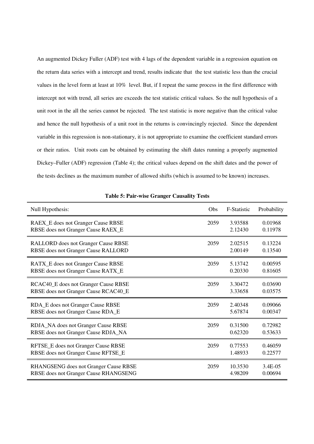An augmented Dickey Fuller (ADF) test with 4 lags of the dependent variable in a regression equation on the return data series with a intercept and trend, results indicate that the test statistic less than the crucial values in the level form at least at 10% level. But, if I repeat the same process in the first difference with intercept not with trend, all series are exceeds the test statistic critical values. So the null hypothesis of a unit root in the all the series cannot be rejected. The test statistic is more negative than the critical value and hence the null hypothesis of a unit root in the returns is convincingly rejected. Since the dependent variable in this regression is non-stationary, it is not appropriate to examine the coefficient standard errors or their ratios. Unit roots can be obtained by estimating the shift dates running a properly augmented Dickey–Fuller (ADF) regression (Table 4); the critical values depend on the shift dates and the power of the tests declines as the maximum number of allowed shifts (which is assumed to be known) increases.

| Null Hypothesis:                      | Obs  | <b>F-Statistic</b> | Probability |
|---------------------------------------|------|--------------------|-------------|
| RAEX_E does not Granger Cause RBSE    | 2059 | 3.93588            | 0.01968     |
| RBSE does not Granger Cause RAEX_E    |      | 2.12430            | 0.11978     |
| RALLORD does not Granger Cause RBSE   | 2059 | 2.02515            | 0.13224     |
| RBSE does not Granger Cause RALLORD   |      | 2.00149            | 0.13540     |
| RATX_E does not Granger Cause RBSE    | 2059 | 5.13742            | 0.00595     |
| RBSE does not Granger Cause RATX_E    |      | 0.20330            | 0.81605     |
| RCAC40_E does not Granger Cause RBSE  | 2059 | 3.30472            | 0.03690     |
| RBSE does not Granger Cause RCAC40_E  |      | 3.33658            | 0.03575     |
| RDA_E does not Granger Cause RBSE     | 2059 | 2.40348            | 0.09066     |
| RBSE does not Granger Cause RDA_E     |      | 5.67874            | 0.00347     |
| RDJA_NA does not Granger Cause RBSE   | 2059 | 0.31500            | 0.72982     |
| RBSE does not Granger Cause RDJA_NA   |      | 0.62320            | 0.53633     |
| RFTSE_E does not Granger Cause RBSE   | 2059 | 0.77553            | 0.46059     |
| RBSE does not Granger Cause RFTSE_E   |      | 1.48933            | 0.22577     |
| RHANGSENG does not Granger Cause RBSE | 2059 | 10.3530            | 3.4E-05     |
| RBSE does not Granger Cause RHANGSENG |      | 4.98209            | 0.00694     |

**Table 5: Pair-wise Granger Causality Tests**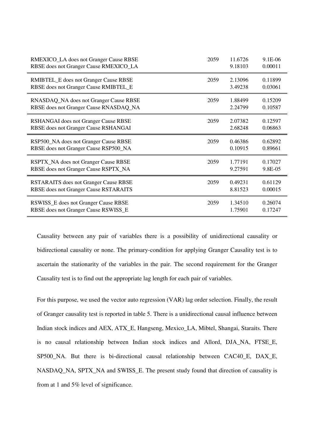| RMEXICO_LA does not Granger Cause RBSE       | 2059 | 11.6726 | 9.1E-06 |
|----------------------------------------------|------|---------|---------|
| RBSE does not Granger Cause RMEXICO_LA       |      | 9.18103 | 0.00011 |
| RMIBTEL_E does not Granger Cause RBSE        | 2059 | 2.13096 | 0.11899 |
| RBSE does not Granger Cause RMIBTEL_E        |      | 3.49238 | 0.03061 |
| RNASDAQ_NA does not Granger Cause RBSE       | 2059 | 1.88499 | 0.15209 |
| RBSE does not Granger Cause RNASDAQ_NA       |      | 2.24799 | 0.10587 |
| RSHANGAI does not Granger Cause RBSE         | 2059 | 2.07382 | 0.12597 |
| RBSE does not Granger Cause RSHANGAI         |      | 2.68248 | 0.06863 |
| RSP500_NA does not Granger Cause RBSE        | 2059 | 0.46386 | 0.62892 |
| RBSE does not Granger Cause RSP500_NA        |      | 0.10915 | 0.89661 |
| RSPTX_NA does not Granger Cause RBSE         | 2059 | 1.77191 | 0.17027 |
| RBSE does not Granger Cause RSPTX_NA         |      | 9.27591 | 9.8E-05 |
| <b>RSTARAITS</b> does not Granger Cause RBSE | 2059 | 0.49231 | 0.61129 |
| RBSE does not Granger Cause RSTARAITS        |      | 8.81523 | 0.00015 |
| RSWISS_E does not Granger Cause RBSE         | 2059 | 1.34510 | 0.26074 |
| RBSE does not Granger Cause RSWISS_E         |      | 1.75901 | 0.17247 |

Causality between any pair of variables there is a possibility of unidirectional causality or bidirectional causality or none. The primary-condition for applying Granger Causality test is to ascertain the stationarity of the variables in the pair. The second requirement for the Granger Causality test is to find out the appropriate lag length for each pair of variables.

For this purpose, we used the vector auto regression (VAR) lag order selection. Finally, the result of Granger causality test is reported in table 5. There is a unidirectional causal influence between Indian stock indices and AEX, ATX\_E, Hangseng, Mexico\_LA, Mibtel, Shangai, Staraits. There is no causal relationship between Indian stock indices and Allord, DJA\_NA, FTSE\_E, SP500\_NA. But there is bi-directional causal relationship between CAC40\_E, DAX\_E, NASDAQ\_NA, SPTX\_NA and SWISS\_E. The present study found that direction of causality is from at 1 and 5% level of significance.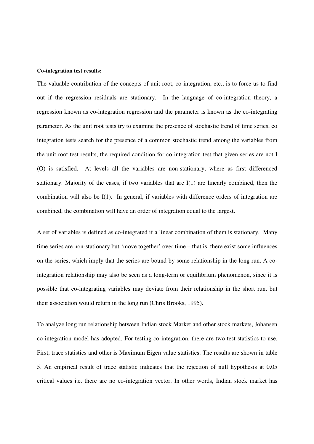#### **Co-integration test results:**

The valuable contribution of the concepts of unit root, co-integration, etc., is to force us to find out if the regression residuals are stationary. In the language of co-integration theory, a regression known as co-integration regression and the parameter is known as the co-integrating parameter. As the unit root tests try to examine the presence of stochastic trend of time series, co integration tests search for the presence of a common stochastic trend among the variables from the unit root test results, the required condition for co integration test that given series are not I (O) is satisfied. At levels all the variables are non-stationary, where as first differenced stationary. Majority of the cases, if two variables that are I(1) are linearly combined, then the combination will also be I(1). In general, if variables with difference orders of integration are combined, the combination will have an order of integration equal to the largest.

A set of variables is defined as co-integrated if a linear combination of them is stationary. Many time series are non-stationary but 'move together' over time – that is, there exist some influences on the series, which imply that the series are bound by some relationship in the long run. A cointegration relationship may also be seen as a long-term or equilibrium phenomenon, since it is possible that co-integrating variables may deviate from their relationship in the short run, but their association would return in the long run (Chris Brooks, 1995).

To analyze long run relationship between Indian stock Market and other stock markets, Johansen co-integration model has adopted. For testing co-integration, there are two test statistics to use. First, trace statistics and other is Maximum Eigen value statistics. The results are shown in table 5. An empirical result of trace statistic indicates that the rejection of null hypothesis at 0.05 critical values i.e. there are no co-integration vector. In other words, Indian stock market has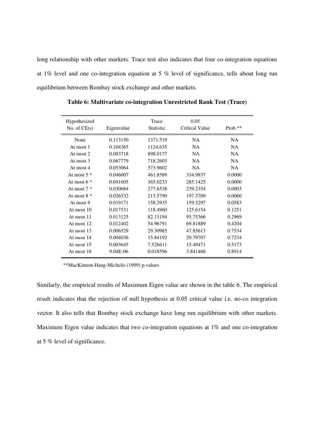long relationship with other markets. Trace test also indicates that four co-integration equations at 1% level and one co-integration equation at 5 % level of significance, tells about long run equilibrium between Bombay stock exchange and other markets.

| Hypothesized<br>No. of $CE(s)$ | Eigenvalue | Trace<br><b>Statistic</b> | 0.05<br>Critical Value | Prob.**   |
|--------------------------------|------------|---------------------------|------------------------|-----------|
| None                           | 0.113150   | 1371.519                  | NA.                    | <b>NA</b> |
| At most 1                      | 0.104365   | 1124.635                  | NA.                    | <b>NA</b> |
| At most 2                      | 0.083718   | 898.0177                  | <b>NA</b>              | <b>NA</b> |
| At most 3                      | 0.067779   | 718.2603                  | <b>NA</b>              | <b>NA</b> |
| At most 4                      | 0.053064   | 573.9602                  | <b>NA</b>              | <b>NA</b> |
| At most $5*$                   | 0.046007   | 461.8589                  | 334.9837               | 0.0000    |
| At most $6*$                   | 0.041605   | 365.0233                  | 285.1425               | 0.0000    |
| At most $7*$                   | 0.030684   | 277.6538                  | 239.2354               | 0.0003    |
| At most $8 *$                  | 0.026532   | 213.5790                  | 197.3709               | 0.0060    |
| At most 9                      | 0.019171   | 158.2935                  | 159.5297               | 0.0583    |
| At most $10$                   | 0.017531   | 118.4960                  | 125.6154               | 0.1251    |
| At most 11                     | 0.013125   | 82.13194                  | 95.75366               | 0.2969    |
| At most $12$                   | 0.012402   | 54.96791                  | 69.81889               | 0.4204    |
| At most 13                     | 0.006529   | 29.30985                  | 47.85613               | 0.7534    |
| At most 14                     | 0.004036   | 15.84192                  | 29.79707               | 0.7234    |
| At most 15                     | 0.003645   | 7.526611                  | 15.49471               | 0.5173    |
| At most 16                     | 9.04E-06   | 0.018596                  | 3.841466               | 0.8914    |

**Table 6: Multivariate co-integration Unrestricted Rank Test (Trace)** 

\*\*MacKinnon-Haug-Michelis (1999) p-values

Similarly, the empirical results of Maximum Eigen value are shown in the table 6. The empirical result indicates that the rejection of null hypothesis at 0.05 critical value i.e. no-co integration vector. It also tells that Bombay stock exchange have long run equilibrium with other markets. Maximum Eigen value indicates that two co-integration equations at 1% and one co-integration at 5 % level of significance.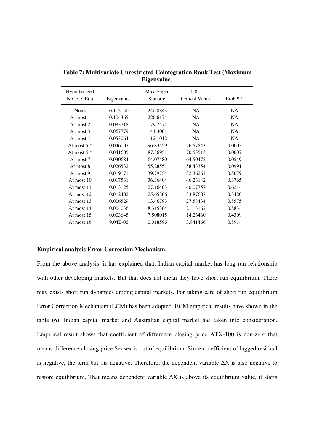| Hypothesized<br>No. of $CE(s)$ | Eigenvalue | Max-Eigen<br><b>Statistic</b> | 0.05<br><b>Critical Value</b> | $Prob.**$ |
|--------------------------------|------------|-------------------------------|-------------------------------|-----------|
| None                           | 0.113150   | 246.8843                      | <b>NA</b>                     | <b>NA</b> |
| At most 1                      | 0.104365   | 226.6174                      | <b>NA</b>                     | NA.       |
| At most $2$                    | 0.083718   | 179.7574                      | NA                            | <b>NA</b> |
| At most $3$                    | 0.067779   | 144.3001                      | <b>NA</b>                     | <b>NA</b> |
| At most 4                      | 0.053064   | 112.1012                      | <b>NA</b>                     | <b>NA</b> |
| At most $5*$                   | 0.046007   | 96.83559                      | 76.57843                      | 0.0003    |
| At most $6*$                   | 0.041605   | 87.36951                      | 70.53513                      | 0.0007    |
| At most 7                      | 0.030684   | 64.07480                      | 64.50472                      | 0.0549    |
| At most 8                      | 0.026532   | 55.28551                      | 58.43354                      | 0.0991    |
| At most 9                      | 0.019171   | 39.79754                      | 52.36261                      | 0.5079    |
| At most 10                     | 0.017531   | 36.36404                      | 46.23142                      | 0.3765    |
| At most 11                     | 0.013125   | 27.16403                      | 40.07757                      | 0.6214    |
| At most 12                     | 0.012402   | 25.65806                      | 33.87687                      | 0.3420    |
| At most 13                     | 0.006529   | 13.46793                      | 27.58434                      | 0.8575    |
| At most 14                     | 0.004036   | 8.315304                      | 21.13162                      | 0.8834    |
| At most 15                     | 0.003645   | 7.508015                      | 14.26460                      | 0.4309    |
| At most 16                     | 9.04E-06   | 0.018596                      | 3.841466                      | 0.8914    |

**Table 7: Multivariate Unrestricted Cointegration Rank Test (Maximum Eigenvalue)** 

#### **Empirical analysis Error Correction Mechanism:**

From the above analysis, it has explained that, Indian capital market has long run relationship with other developing markets. But that does not mean they have short run equilibrium. There may exists short run dynamics among capital markets. For taking care of short run equilibrium Error Correction Mechanism (ECM) has been adopted. ECM empirical results have shown in the table (6). Indian capital market and Australian capital market has taken into consideration. Empirical result shows that coefficient of difference closing price ATX-100 is non-zero that means difference closing price Sensex is out of equilibrium. Since co-efficient of lagged residual is negative, the term  $\theta$ ut-1 is negative. Therefore, the dependent variable  $\Delta X$  is also negative to restore equilibrium. That means dependent variable  $\Delta X$  is above its equilibrium value, it starts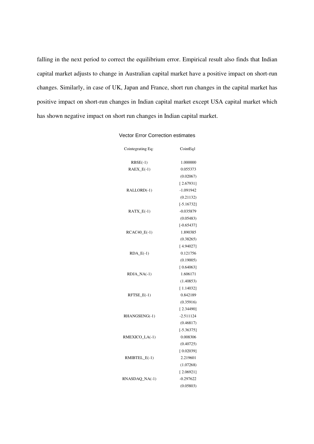falling in the next period to correct the equilibrium error. Empirical result also finds that Indian capital market adjusts to change in Australian capital market have a positive impact on short-run changes. Similarly, in case of UK, Japan and France, short run changes in the capital market has positive impact on short-run changes in Indian capital market except USA capital market which has shown negative impact on short run changes in Indian capital market.

#### Vector Error Correction estimates

| Cointegrating Eq: | CointEq1     |
|-------------------|--------------|
| $RBSE(-1)$        | 1.000000     |
| $RAEX_E(-1)$      | 0.055373     |
|                   | (0.02067)    |
|                   | [2.67931]    |
| RALLORD(-1)       | -1.091942    |
|                   | (0.21132)    |
|                   | $[-5.16732]$ |
| $RATX_E(-1)$      | $-0.035879$  |
|                   | (0.05483)    |
|                   | $[-0.65437]$ |
| RCAC40_E(-1)      | 1.890385     |
|                   | (0.38265)    |
|                   | [4.94027]    |
| $RDA_E(-1)$       | 0.121756     |
|                   | (0.19005)    |
|                   | [0.64063]    |
| $RDJA_NA(-1)$     | 1.606171     |
|                   | (1.40853)    |
|                   | [1.14032]    |
| $RFTSE_E(-1)$     | 0.842189     |
|                   | (0.35916)    |
|                   | [2.34490]    |
| RHANGSENG(-1)     | $-2.511124$  |
|                   | (0.46817)    |
|                   | $[-5.36375]$ |
| RMEXICO_LA(-1)    | 0.008306     |
|                   | (0.40725)    |
|                   | [0.02039]    |
| RMIBTEL_E(-1)     | 2.219601     |
|                   | (1.07268)    |
|                   | [2.06921]    |
| $RNASDAQ_NA(-1)$  | $-0.297622$  |
|                   | (0.05803)    |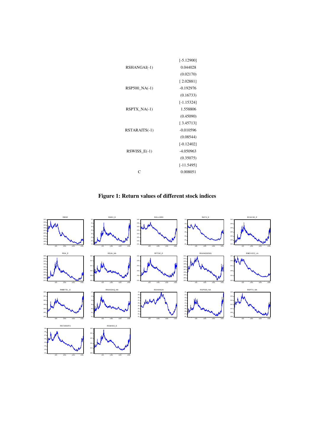|                  | $[-5.12900]$ |
|------------------|--------------|
| RSHANGAI(-1)     | 0.044028     |
|                  | (0.02170)    |
|                  | [2.02881]    |
| RSP500_NA(-1)    | $-0.192976$  |
|                  | (0.16733)    |
|                  | $[-1.15324]$ |
| $RSPTX_N(A(-1))$ | 1.558806     |
|                  | (0.45090)    |
|                  | [3.45713]    |
| RSTARAITS(-1)    | $-0.010596$  |
|                  | (0.08544)    |
|                  | $[-0.12402]$ |
| $RSWISS_E(-1)$   | -4.050963    |
|                  | (0.35075)    |
|                  | $[-11.5495]$ |
| ┌                | 0.008051     |
|                  |              |

**Figure 1: Return values of different stock indices** 

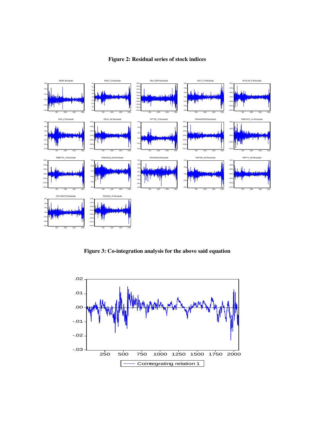

# **Figure 2: Residual series of stock indices**

**Figure 3: Co-integration analysis for the above said equation** 

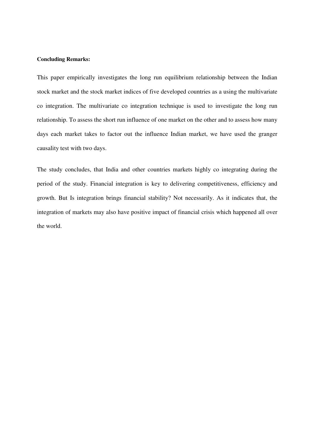#### **Concluding Remarks:**

This paper empirically investigates the long run equilibrium relationship between the Indian stock market and the stock market indices of five developed countries as a using the multivariate co integration. The multivariate co integration technique is used to investigate the long run relationship. To assess the short run influence of one market on the other and to assess how many days each market takes to factor out the influence Indian market, we have used the granger causality test with two days.

The study concludes, that India and other countries markets highly co integrating during the period of the study. Financial integration is key to delivering competitiveness, efficiency and growth. But Is integration brings financial stability? Not necessarily. As it indicates that, the integration of markets may also have positive impact of financial crisis which happened all over the world.